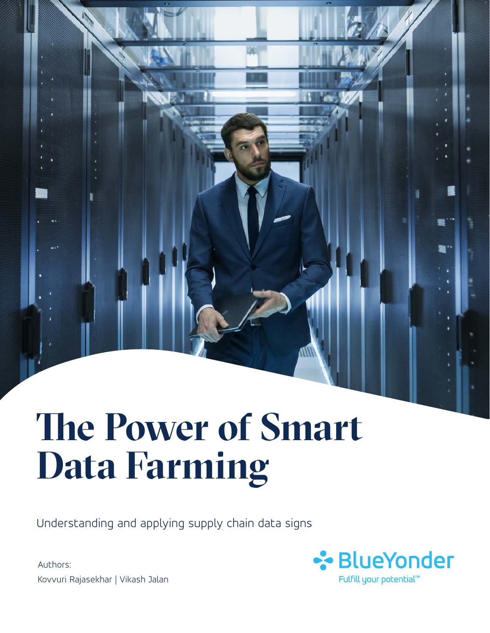# **The Power of Smart Data Farming**

Understanding and applying supply chain data signs

Authors: Kovvuri Rajasekhar | Vikash Jalan

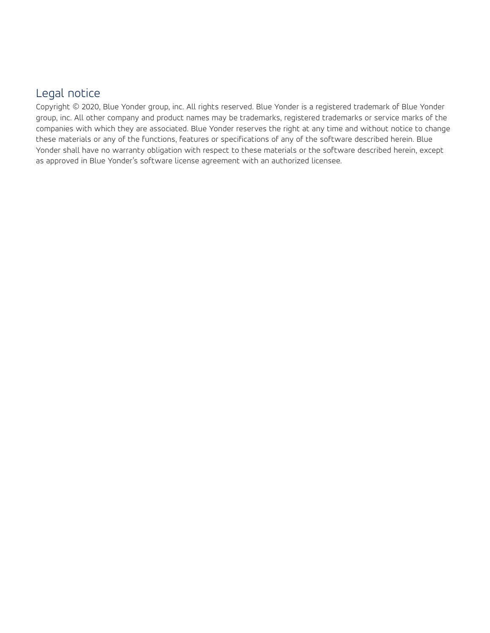# Legal notice

Copyright © 2020, Blue Yonder group, inc. All rights reserved. Blue Yonder is a registered trademark of Blue Yonder group, inc. All other company and product names may be trademarks, registered trademarks or service marks of the companies with which they are associated. Blue Yonder reserves the right at any time and without notice to change these materials or any of the functions, features or specifications of any of the software described herein. Blue Yonder shall have no warranty obligation with respect to these materials or the software described herein, except as approved in Blue Yonder's software license agreement with an authorized licensee.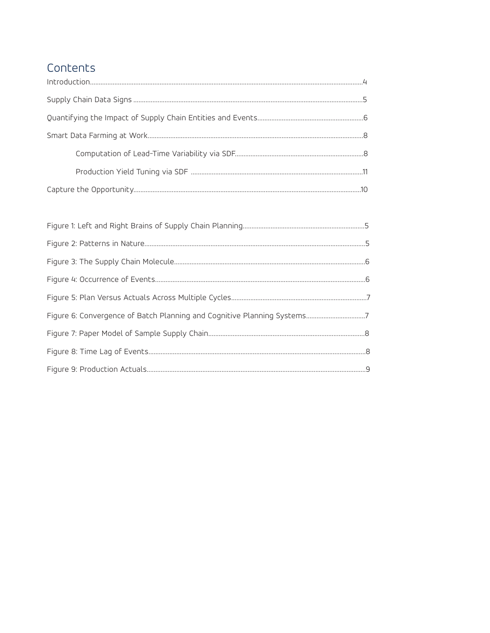# Contents

| Figure 6: Convergence of Batch Planning and Cognitive Planning Systems7 |
|-------------------------------------------------------------------------|
|                                                                         |
|                                                                         |
|                                                                         |
|                                                                         |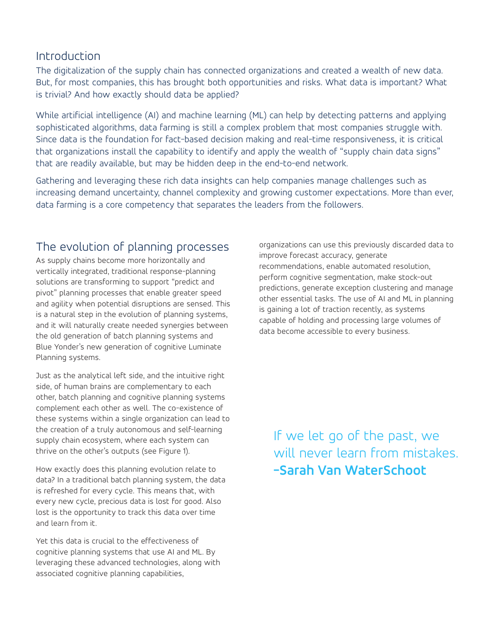### Introduction

The digitalization of the supply chain has connected organizations and created a wealth of new data. But, for most companies, this has brought both opportunities and risks. What data is important? What is trivial? And how exactly should data be applied?

While artificial intelligence (AI) and machine learning (ML) can help by detecting patterns and applying sophisticated algorithms, data farming is still a complex problem that most companies struggle with. Since data is the foundation for fact-based decision making and real-time responsiveness, it is critical that organizations install the capability to identify and apply the wealth of "supply chain data signs" that are readily available, but may be hidden deep in the end-to-end network.

Gathering and leveraging these rich data insights can help companies manage challenges such as increasing demand uncertainty, channel complexity and growing customer expectations. More than ever, data farming is a core competency that separates the leaders from the followers.

# The evolution of planning processes

As supply chains become more horizontally and vertically integrated, traditional response-planning solutions are transforming to support "predict and pivot" planning processes that enable greater speed and agility when potential disruptions are sensed. This is a natural step in the evolution of planning systems, and it will naturally create needed synergies between the old generation of batch planning systems and Blue Yonder's new generation of cognitive Luminate Planning systems.

Just as the analytical left side, and the intuitive right side, of human brains are complementary to each other, batch planning and cognitive planning systems complement each other as well. The co-existence of these systems within a single organization can lead to the creation of a truly autonomous and self-learning supply chain ecosystem, where each system can thrive on the other's outputs (see Figure 1).

How exactly does this planning evolution relate to data? In a traditional batch planning system, the data is refreshed for every cycle. This means that, with every new cycle, precious data is lost for good. Also lost is the opportunity to track this data over time and learn from it.

Yet this data is crucial to the effectiveness of cognitive planning systems that use AI and ML. By leveraging these advanced technologies, along with associated cognitive planning capabilities,

organizations can use this previously discarded data to improve forecast accuracy, generate recommendations, enable automated resolution, perform cognitive segmentation, make stock-out predictions, generate exception clustering and manage other essential tasks. The use of AI and ML in planning is gaining a lot of traction recently, as systems capable of holding and processing large volumes of data become accessible to every business.

If we let go of the past, we will never learn from mistakes. **-Sarah Van WaterSchoot**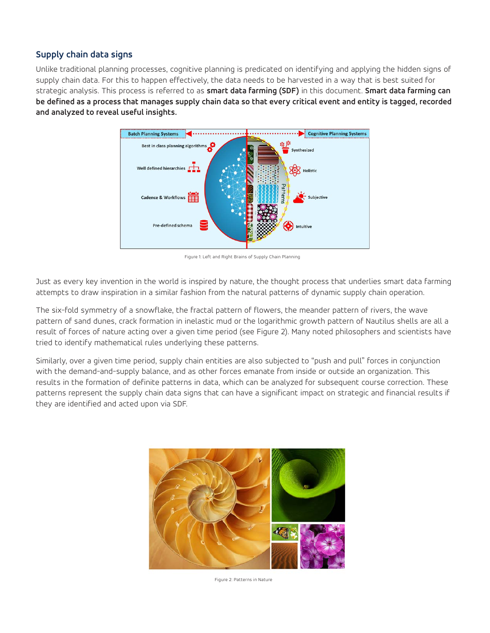#### **Supply chain data signs**

Unlike traditional planning processes, cognitive planning is predicated on identifying and applying the hidden signs of supply chain data. For this to happen effectively, the data needs to be harvested in a way that is best suited for strategic analysis. This process is referred to as **smart data farming (SDF)** in this document. **Smart data farming can be defined as a process that manages supply chain data so that every critical event and entity is tagged, recorded and analyzed to reveal useful insights.** 



Figure 1: Left and Right Brains of Supply Chain Planning

Just as every key invention in the world is inspired by nature, the thought process that underlies smart data farming attempts to draw inspiration in a similar fashion from the natural patterns of dynamic supply chain operation.

The six-fold symmetry of a snowflake, the fractal pattern of flowers, the meander pattern of rivers, the wave pattern of sand dunes, crack formation in inelastic mud or the logarithmic growth pattern of Nautilus shells are all a result of forces of nature acting over a given time period (see Figure 2). Many noted philosophers and scientists have tried to identify mathematical rules underlying these patterns.

Similarly, over a given time period, supply chain entities are also subjected to "push and pull" forces in conjunction with the demand-and-supply balance, and as other forces emanate from inside or outside an organization. This results in the formation of definite patterns in data, which can be analyzed for subsequent course correction. These patterns represent the supply chain data signs that can have a significant impact on strategic and financial results if they are identified and acted upon via SDF.



Figure 2: Patterns in Nature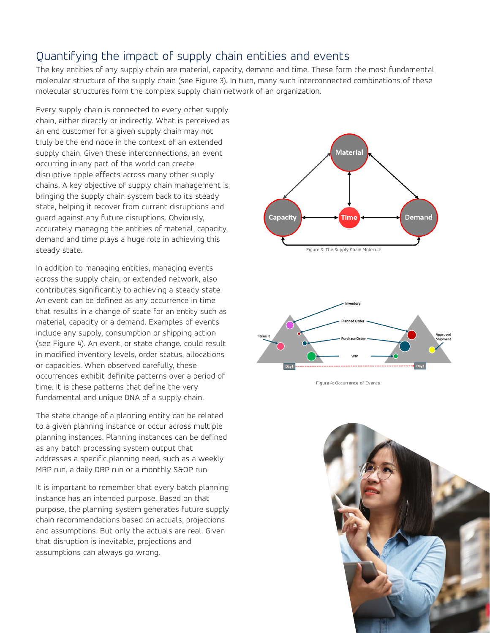# Quantifying the impact of supply chain entities and events

The key entities of any supply chain are material, capacity, demand and time. These form the most fundamental molecular structure of the supply chain (see Figure 3). In turn, many such interconnected combinations of these molecular structures form the complex supply chain network of an organization.

Every supply chain is connected to every other supply chain, either directly or indirectly. What is perceived as an end customer for a given supply chain may not truly be the end node in the context of an extended supply chain. Given these interconnections, an event occurring in any part of the world can create disruptive ripple effects across many other supply chains. A key objective of supply chain management is bringing the supply chain system back to its steady state, helping it recover from current disruptions and guard against any future disruptions. Obviously, accurately managing the entities of material, capacity, demand and time plays a huge role in achieving this steady state.

In addition to managing entities, managing events across the supply chain, or extended network, also contributes significantly to achieving a steady state. An event can be defined as any occurrence in time that results in a change of state for an entity such as material, capacity or a demand. Examples of events include any supply, consumption or shipping action (see Figure 4). An event, or state change, could result in modified inventory levels, order status, allocations or capacities. When observed carefully, these occurrences exhibit definite patterns over a period of time. It is these patterns that define the very fundamental and unique DNA of a supply chain.

The state change of a planning entity can be related to a given planning instance or occur across multiple planning instances. Planning instances can be defined as any batch processing system output that addresses a specific planning need, such as a weekly MRP run, a daily DRP run or a monthly S&OP run.

It is important to remember that every batch planning instance has an intended purpose. Based on that purpose, the planning system generates future supply chain recommendations based on actuals, projections and assumptions. But only the actuals are real. Given that disruption is inevitable, projections and assumptions can always go wrong.





Figure 4: Occurrence of Events

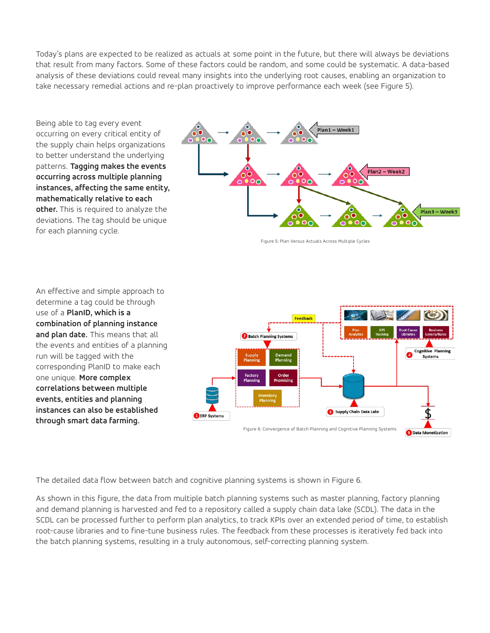Today's plans are expected to be realized as actuals at some point in the future, but there will always be deviations that result from many factors. Some of these factors could be random, and some could be systematic. A data-based analysis of these deviations could reveal many insights into the underlying root causes, enabling an organization to take necessary remedial actions and re-plan proactively to improve performance each week (see Figure 5).

Being able to tag every event occurring on every critical entity of the supply chain helps organizations to better understand the underlying patterns. **Tagging makes the events occurring across multiple planning instances, affecting the same entity, mathematically relative to each other.** This is required to analyze the deviations. The tag should be unique for each planning cycle.



Figure 5: Plan Versus Actuals Across Multiple Cycles

An effective and simple approach to determine a tag could be through use of a **PlanID, which is a combination of planning instance and plan date.** This means that all the events and entities of a planning run will be tagged with the corresponding PlanID to make each one unique. **More complex correlations between multiple events, entities and planning instances can also be established through smart data farming.** 



The detailed data flow between batch and cognitive planning systems is shown in Figure 6.

As shown in this figure, the data from multiple batch planning systems such as master planning, factory planning and demand planning is harvested and fed to a repository called a supply chain data lake (SCDL). The data in the SCDL can be processed further to perform plan analytics, to track KPIs over an extended period of time, to establish root-cause libraries and to fine-tune business rules. The feedback from these processes is iteratively fed back into the batch planning systems, resulting in a truly autonomous, self-correcting planning system.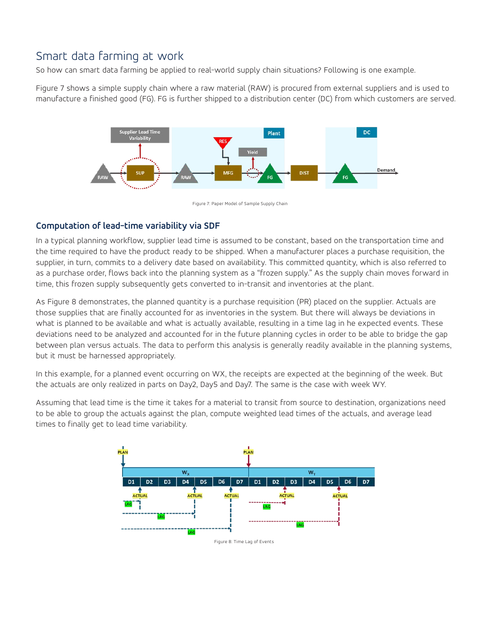# Smart data farming at work

So how can smart data farming be applied to real-world supply chain situations? Following is one example.

Figure 7 shows a simple supply chain where a raw material (RAW) is procured from external suppliers and is used to manufacture a finished good (FG). FG is further shipped to a distribution center (DC) from which customers are served.



Figure 7: Paper Model of Sample Supply Chain

#### **Computation of lead-time variability via SDF**

In a typical planning workflow, supplier lead time is assumed to be constant, based on the transportation time and the time required to have the product ready to be shipped. When a manufacturer places a purchase requisition, the supplier, in turn, commits to a delivery date based on availability. This committed quantity, which is also referred to as a purchase order, flows back into the planning system as a "frozen supply." As the supply chain moves forward in time, this frozen supply subsequently gets converted to in-transit and inventories at the plant.

As Figure 8 demonstrates, the planned quantity is a purchase requisition (PR) placed on the supplier. Actuals are those supplies that are finally accounted for as inventories in the system. But there will always be deviations in what is planned to be available and what is actually available, resulting in a time lag in he expected events. These deviations need to be analyzed and accounted for in the future planning cycles in order to be able to bridge the gap between plan versus actuals. The data to perform this analysis is generally readily available in the planning systems, but it must be harnessed appropriately.

In this example, for a planned event occurring on WX, the receipts are expected at the beginning of the week. But the actuals are only realized in parts on Day2, Day5 and Day7. The same is the case with week WY.

Assuming that lead time is the time it takes for a material to transit from source to destination, organizations need to be able to group the actuals against the plan, compute weighted lead times of the actuals, and average lead times to finally get to lead time variability.

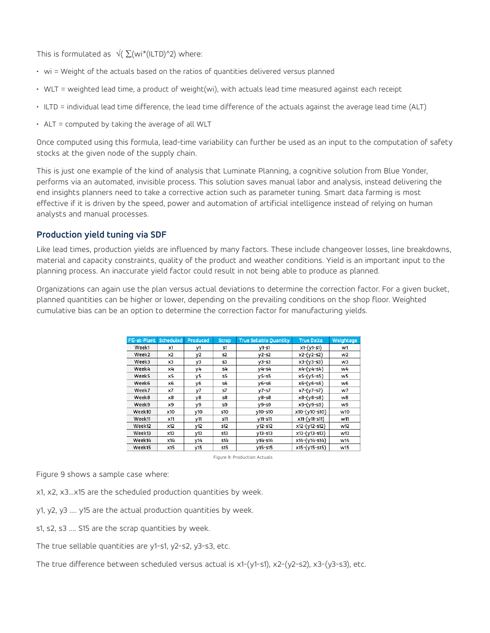This is formulated as  $\sqrt{\left(\sum (wi^*(ILTD)^2)\right)}$  where:

- wi = Weight of the actuals based on the ratios of quantities delivered versus planned
- WLT = weighted lead time, a product of weight(wi), with actuals lead time measured against each receipt
- ILTD = individual lead time difference, the lead time difference of the actuals against the average lead time (ALT)
- ALT = computed by taking the average of all WLT

Once computed using this formula, lead-time variability can further be used as an input to the computation of safety stocks at the given node of the supply chain.

This is just one example of the kind of analysis that Luminate Planning, a cognitive solution from Blue Yonder, performs via an automated, invisible process. This solution saves manual labor and analysis, instead delivering the end insights planners need to take a corrective action such as parameter tuning. Smart data farming is most effective if it is driven by the speed, power and automation of artificial intelligence instead of relying on human analysts and manual processes.

#### **Production yield tuning via SDF**

Like lead times, production yields are influenced by many factors. These include changeover losses, line breakdowns, material and capacity constraints, quality of the product and weather conditions. Yield is an important input to the planning process. An inaccurate yield factor could result in not being able to produce as planned.

Organizations can again use the plan versus actual deviations to determine the correction factor. For a given bucket, planned quantities can be higher or lower, depending on the prevailing conditions on the shop floor. Weighted cumulative bias can be an option to determine the correction factor for manufacturing yields.

| FG-at-Plant | Scheduled | Produced        | <b>Scrap</b> | <b>True Sellable Quantity</b> | <b>True Delta</b> | Weightage |
|-------------|-----------|-----------------|--------------|-------------------------------|-------------------|-----------|
| Week1       | x1        | y1              | S1           | $V$ 1-s1                      | $x1-(y1-s1)$      | w1        |
| Week2       | x2        | y2              | s2           | $v2-S2$                       | $x2-(y2-s2)$      | w2        |
| Week3       | x3        | y3              | s3           | $v3- s3$                      | $x3-(y3-s3)$      | w3        |
| Week4       | x4        | уĿ              | s4           | $y4 - s4$                     | x4-(y4-s4)        | w4        |
| Week5       | x5        | y5              | s5           | $y5-55$                       | $x5-(y5-55)$      | w5        |
| Week6       | x6        | ν6              | s6           | $V6-56$                       | $x6-(y6-56)$      | w6        |
| Week7       | x7        | y7              | s7           | y7-s7                         | x7-(y7-s7)        | w7        |
| Week8       | х8        | γ8              | s8           | $y8-58$                       | x8-(y8-s8)        | w8        |
| Week9       | х9        | y9              | s9           | $v9-s9$                       | $x9-(y9-59)$      | w9        |
| Week10      | x10       | y10             | s10          | $V10-510$                     | x10-(y10-s10)     | w10       |
| Week11      | x11       | V <sup>11</sup> | s11          | $V11-S11$                     | x11-(y11-s11)     | w11       |
| Week12      | x12       | y12             | s12          | $y12 - s12$                   | x12-(y12-s12)     | w12       |
| Week13      | x13       | y13             | s13          | $V13 - S13$                   | x13-(y13-s13)     | w13       |
| Week14      | x14       | v14             | s14          | $V14-S14$                     | x14-(y14-s14)     | W14       |
| Week15      | x15       | V15             | 515          | $V15 - S15$                   | x15-(y15-s15)     | w15       |

Figure 9: Production Actuals

Figure 9 shows a sample case where:

- x1, x2, x3...x15 are the scheduled production quantities by week.
- y1, y2, y3 …. y15 are the actual production quantities by week.
- s1, s2, s3 .... S15 are the scrap quantities by week.
- The true sellable quantities are y1-s1, y2-s2, y3-s3, etc.

The true difference between scheduled versus actual is x1-(y1-s1), x2-(y2-s2), x3-(y3-s3), etc.